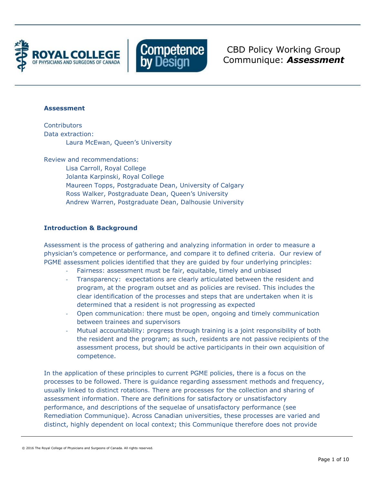



CBD Policy Working Group Communique: *Assessment*

#### **Assessment**

**Contributors** Data extraction: Laura McEwan, Queen's University

Review and recommendations:

Lisa Carroll, Royal College Jolanta Karpinski, Royal College Maureen Topps, Postgraduate Dean, University of Calgary Ross Walker, Postgraduate Dean, Queen's University Andrew Warren, Postgraduate Dean, Dalhousie University

## **Introduction & Background**

Assessment is the process of gathering and analyzing information in order to measure a physician's competence or performance, and compare it to defined criteria. Our review of PGME assessment policies identified that they are guided by four underlying principles:

- Fairness: assessment must be fair, equitable, timely and unbiased
- Transparency: expectations are clearly articulated between the resident and program, at the program outset and as policies are revised. This includes the clear identification of the processes and steps that are undertaken when it is determined that a resident is not progressing as expected
- Open communication: there must be open, ongoing and timely communication between trainees and supervisors
- Mutual accountability: progress through training is a joint responsibility of both the resident and the program; as such, residents are not passive recipients of the assessment process, but should be active participants in their own acquisition of competence.

In the application of these principles to current PGME policies, there is a focus on the processes to be followed. There is guidance regarding assessment methods and frequency, usually linked to distinct rotations. There are processes for the collection and sharing of assessment information. There are definitions for satisfactory or unsatisfactory performance, and descriptions of the sequelae of unsatisfactory performance (see Remediation Communique). Across Canadian universities, these processes are varied and distinct, highly dependent on local context; this Communique therefore does not provide

<sup>© 2016</sup> The Royal College of Physicians and Surgeons of Canada. All rights reserved.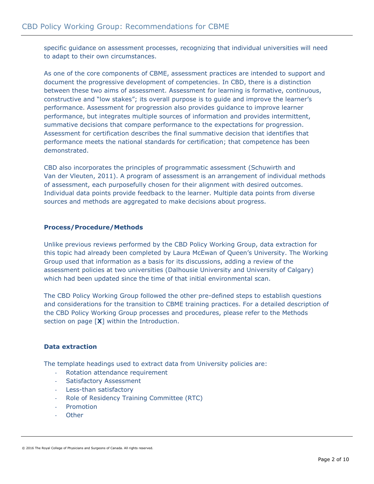specific guidance on assessment processes, recognizing that individual universities will need to adapt to their own circumstances.

As one of the core components of CBME, assessment practices are intended to support and document the progressive development of competencies. In CBD, there is a distinction between these two aims of assessment. Assessment for learning is formative, continuous, constructive and "low stakes"; its overall purpose is to guide and improve the learner's performance. Assessment for progression also provides guidance to improve learner performance, but integrates multiple sources of information and provides intermittent, summative decisions that compare performance to the expectations for progression. Assessment for certification describes the final summative decision that identifies that performance meets the national standards for certification; that competence has been demonstrated.

CBD also incorporates the principles of programmatic assessment (Schuwirth and Van der Vleuten, 2011). A program of assessment is an arrangement of individual methods of assessment, each purposefully chosen for their alignment with desired outcomes. Individual data points provide feedback to the learner. Multiple data points from diverse sources and methods are aggregated to make decisions about progress.

## **Process/Procedure/Methods**

Unlike previous reviews performed by the CBD Policy Working Group, data extraction for this topic had already been completed by Laura McEwan of Queen's University. The Working Group used that information as a basis for its discussions, adding a review of the assessment policies at two universities (Dalhousie University and University of Calgary) which had been updated since the time of that initial environmental scan.

The CBD Policy Working Group followed the other pre-defined steps to establish questions and considerations for the transition to CBME training practices. For a detailed description of the CBD Policy Working Group processes and procedures, please refer to the Methods section on page [**X**] within the Introduction.

## **Data extraction**

The template headings used to extract data from University policies are:

- Rotation attendance requirement
- Satisfactory Assessment
- Less-than satisfactory
- Role of Residency Training Committee (RTC)
- Promotion
- **Other**

© 2016 The Royal College of Physicians and Surgeons of Canada. All rights reserved.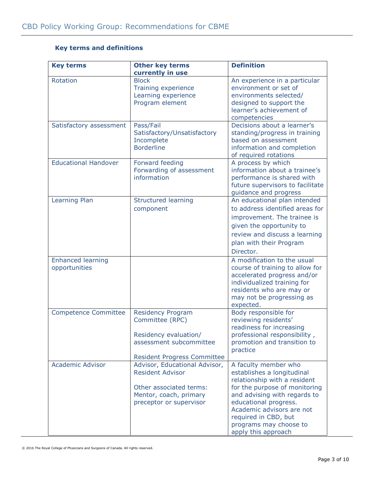# **Key terms and definitions**

| <b>Key terms</b>                          | <b>Other key terms</b>                                                                                                                   | <b>Definition</b>                                                                                                                                                                                                                                                                  |
|-------------------------------------------|------------------------------------------------------------------------------------------------------------------------------------------|------------------------------------------------------------------------------------------------------------------------------------------------------------------------------------------------------------------------------------------------------------------------------------|
|                                           | currently in use                                                                                                                         |                                                                                                                                                                                                                                                                                    |
| Rotation                                  | <b>Block</b><br>Training experience<br>Learning experience<br>Program element                                                            | An experience in a particular<br>environment or set of<br>environments selected/<br>designed to support the<br>learner's achievement of<br>competencies                                                                                                                            |
| Satisfactory assessment                   | Pass/Fail<br>Satisfactory/Unsatisfactory<br>Incomplete<br><b>Borderline</b>                                                              | Decisions about a learner's<br>standing/progress in training<br>based on assessment<br>information and completion<br>of required rotations                                                                                                                                         |
| <b>Educational Handover</b>               | Forward feeding<br>Forwarding of assessment<br>information                                                                               | A process by which<br>information about a trainee's<br>performance is shared with<br>future supervisors to facilitate<br>guidance and progress                                                                                                                                     |
| Learning Plan                             | <b>Structured learning</b><br>component                                                                                                  | An educational plan intended<br>to address identified areas for<br>improvement. The trainee is<br>given the opportunity to<br>review and discuss a learning<br>plan with their Program<br>Director.                                                                                |
| <b>Enhanced learning</b><br>opportunities |                                                                                                                                          | A modification to the usual<br>course of training to allow for<br>accelerated progress and/or<br>individualized training for<br>residents who are may or<br>may not be progressing as<br>expected.                                                                                 |
| <b>Competence Committee</b>               | <b>Residency Program</b><br>Committee (RPC)<br>Residency evaluation/<br>assessment subcommittee<br><b>Resident Progress Committee</b>    | Body responsible for<br>reviewing residents'<br>readiness for increasing<br>professional responsibility,<br>promotion and transition to<br>practice                                                                                                                                |
| <b>Academic Advisor</b>                   | Advisor, Educational Advisor,<br><b>Resident Advisor</b><br>Other associated terms:<br>Mentor, coach, primary<br>preceptor or supervisor | A faculty member who<br>establishes a longitudinal<br>relationship with a resident<br>for the purpose of monitoring<br>and advising with regards to<br>educational progress.<br>Academic advisors are not<br>required in CBD, but<br>programs may choose to<br>apply this approach |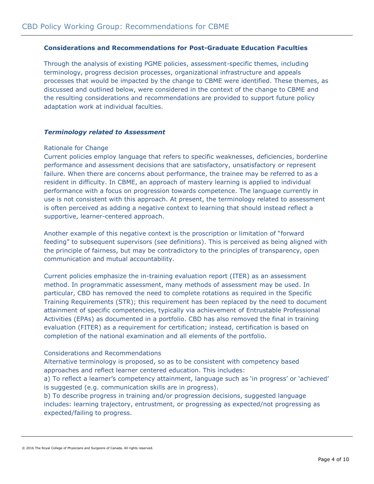## **Considerations and Recommendations for Post-Graduate Education Faculties**

Through the analysis of existing PGME policies, assessment-specific themes, including terminology, progress decision processes, organizational infrastructure and appeals processes that would be impacted by the change to CBME were identified. These themes, as discussed and outlined below, were considered in the context of the change to CBME and the resulting considerations and recommendations are provided to support future policy adaptation work at individual faculties.

#### *Terminology related to Assessment*

#### Rationale for Change

Current policies employ language that refers to specific weaknesses, deficiencies, borderline performance and assessment decisions that are satisfactory, unsatisfactory or represent failure. When there are concerns about performance, the trainee may be referred to as a resident in difficulty. In CBME, an approach of mastery learning is applied to individual performance with a focus on progression towards competence. The language currently in use is not consistent with this approach. At present, the terminology related to assessment is often perceived as adding a negative context to learning that should instead reflect a supportive, learner-centered approach.

Another example of this negative context is the proscription or limitation of "forward feeding" to subsequent supervisors (see definitions). This is perceived as being aligned with the principle of fairness, but may be contradictory to the principles of transparency, open communication and mutual accountability.

Current policies emphasize the in-training evaluation report (ITER) as an assessment method. In programmatic assessment, many methods of assessment may be used. In particular, CBD has removed the need to complete rotations as required in the Specific Training Requirements (STR); this requirement has been replaced by the need to document attainment of specific competencies, typically via achievement of Entrustable Professional Activities (EPAs) as documented in a portfolio. CBD has also removed the final in training evaluation (FITER) as a requirement for certification; instead, certification is based on completion of the national examination and all elements of the portfolio.

## Considerations and Recommendations

Alternative terminology is proposed, so as to be consistent with competency based approaches and reflect learner centered education. This includes:

a) To reflect a learner's competency attainment, language such as 'in progress' or 'achieved' is suggested (e.g. communication skills are in progress).

b) To describe progress in training and/or progression decisions, suggested language includes: learning trajectory, entrustment, or progressing as expected/not progressing as expected/failing to progress.

<sup>© 2016</sup> The Royal College of Physicians and Surgeons of Canada. All rights reserved.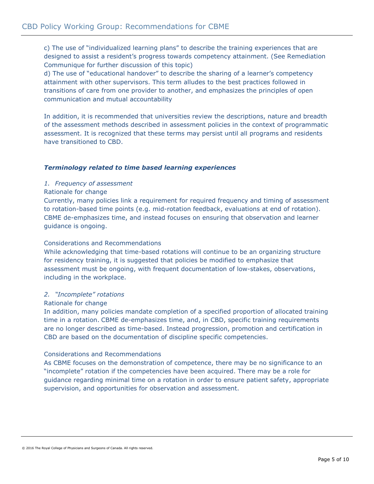c) The use of "individualized learning plans" to describe the training experiences that are designed to assist a resident's progress towards competency attainment. (See Remediation Communique for further discussion of this topic)

d) The use of "educational handover" to describe the sharing of a learner's competency attainment with other supervisors. This term alludes to the best practices followed in transitions of care from one provider to another, and emphasizes the principles of open communication and mutual accountability

In addition, it is recommended that universities review the descriptions, nature and breadth of the assessment methods described in assessment policies in the context of programmatic assessment. It is recognized that these terms may persist until all programs and residents have transitioned to CBD.

## *Terminology related to time based learning experiences*

#### *1. Frequency of assessment*

#### Rationale for change

Currently, many policies link a requirement for required frequency and timing of assessment to rotation-based time points (e.g. mid-rotation feedback, evaluations at end of rotation). CBME de-emphasizes time, and instead focuses on ensuring that observation and learner guidance is ongoing.

#### Considerations and Recommendations

While acknowledging that time-based rotations will continue to be an organizing structure for residency training, it is suggested that policies be modified to emphasize that assessment must be ongoing, with frequent documentation of low-stakes, observations, including in the workplace.

## *2. "Incomplete" rotations*

#### Rationale for change

In addition, many policies mandate completion of a specified proportion of allocated training time in a rotation. CBME de-emphasizes time, and, in CBD, specific training requirements are no longer described as time-based. Instead progression, promotion and certification in CBD are based on the documentation of discipline specific competencies.

## Considerations and Recommendations

As CBME focuses on the demonstration of competence, there may be no significance to an "incomplete" rotation if the competencies have been acquired. There may be a role for guidance regarding minimal time on a rotation in order to ensure patient safety, appropriate supervision, and opportunities for observation and assessment.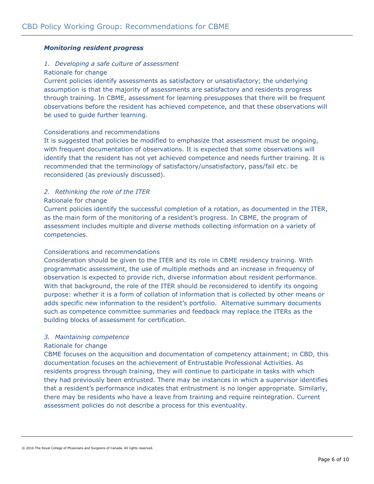## *Monitoring resident progress*

## *1. Developing a safe culture of assessment*

## Rationale for change

Current policies identify assessments as satisfactory or unsatisfactory; the underlying assumption is that the majority of assessments are satisfactory and residents progress through training. In CBME, assessment for learning presupposes that there will be frequent observations before the resident has achieved competence, and that these observations will be used to guide further learning.

## Considerations and recommendations

It is suggested that policies be modified to emphasize that assessment must be ongoing, with frequent documentation of observations. It is expected that some observations will identify that the resident has not yet achieved competence and needs further training. It is recommended that the terminology of satisfactory/unsatisfactory, pass/fail etc. be reconsidered (as previously discussed).

## *2. Rethinking the role of the ITER*

## Rationale for change

Current policies identify the successful completion of a rotation, as documented in the ITER, as the main form of the monitoring of a resident's progress. In CBME, the program of assessment includes multiple and diverse methods collecting information on a variety of competencies.

## Considerations and recommendations

Consideration should be given to the ITER and its role in CBME residency training. With programmatic assessment, the use of multiple methods and an increase in frequency of observation is expected to provide rich, diverse information about resident performance. With that background, the role of the ITER should be reconsidered to identify its ongoing purpose: whether it is a form of collation of information that is collected by other means or adds specific new information to the resident's portfolio. Alternative summary documents such as competence committee summaries and feedback may replace the ITERs as the building blocks of assessment for certification.

## *3. Maintaining competence*

## Rationale for change

CBME focuses on the acquisition and documentation of competency attainment; in CBD, this documentation focuses on the achievement of Entrustable Professional Activities. As residents progress through training, they will continue to participate in tasks with which they had previously been entrusted. There may be instances in which a supervisor identifies that a resident's performance indicates that entrustment is no longer appropriate. Similarly, there may be residents who have a leave from training and require reintegration. Current assessment policies do not describe a process for this eventuality.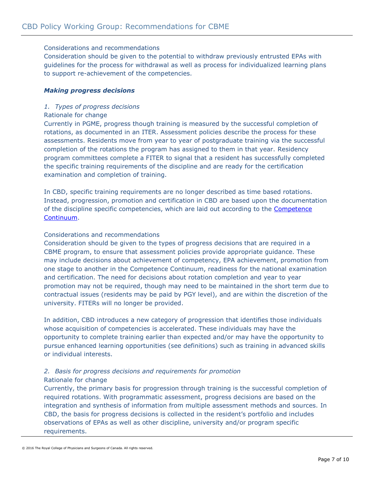## Considerations and recommendations

Consideration should be given to the potential to withdraw previously entrusted EPAs with guidelines for the process for withdrawal as well as process for individualized learning plans to support re-achievement of the competencies.

## *Making progress decisions*

#### *1. Types of progress decisions*

#### Rationale for change

Currently in PGME, progress though training is measured by the successful completion of rotations, as documented in an ITER. Assessment policies describe the process for these assessments. Residents move from year to year of postgraduate training via the successful completion of the rotations the program has assigned to them in that year. Residency program committees complete a FITER to signal that a resident has successfully completed the specific training requirements of the discipline and are ready for the certification examination and completion of training.

In CBD, specific training requirements are no longer described as time based rotations. Instead, progression, promotion and certification in CBD are based upon the documentation of the discipline specific competencies, which are laid out according to the [Competence](http://www.royalcollege.ca/portal/page/portal/rc/common/documents/canmeds/framework/competence_continuum_diagram_e.pdf)  [Continuum.](http://www.royalcollege.ca/portal/page/portal/rc/common/documents/canmeds/framework/competence_continuum_diagram_e.pdf)

#### Considerations and recommendations

Consideration should be given to the types of progress decisions that are required in a CBME program, to ensure that assessment policies provide appropriate guidance. These may include decisions about achievement of competency, EPA achievement, promotion from one stage to another in the Competence Continuum, readiness for the national examination and certification. The need for decisions about rotation completion and year to year promotion may not be required, though may need to be maintained in the short term due to contractual issues (residents may be paid by PGY level), and are within the discretion of the university. FITERs will no longer be provided.

In addition, CBD introduces a new category of progression that identifies those individuals whose acquisition of competencies is accelerated. These individuals may have the opportunity to complete training earlier than expected and/or may have the opportunity to pursue enhanced learning opportunities (see definitions) such as training in advanced skills or individual interests.

## *2. Basis for progress decisions and requirements for promotion* Rationale for change

Currently, the primary basis for progression through training is the successful completion of required rotations. With programmatic assessment, progress decisions are based on the integration and synthesis of information from multiple assessment methods and sources. In CBD, the basis for progress decisions is collected in the resident's portfolio and includes observations of EPAs as well as other discipline, university and/or program specific requirements.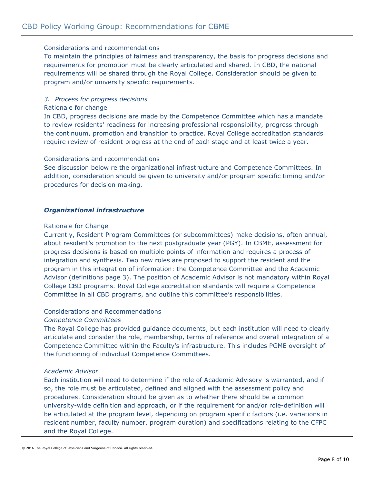## Considerations and recommendations

To maintain the principles of fairness and transparency, the basis for progress decisions and requirements for promotion must be clearly articulated and shared. In CBD, the national requirements will be shared through the Royal College. Consideration should be given to program and/or university specific requirements.

## *3. Process for progress decisions*

#### Rationale for change

In CBD, progress decisions are made by the Competence Committee which has a mandate to review residents' readiness for increasing professional responsibility, progress through the continuum, promotion and transition to practice. Royal College accreditation standards require review of resident progress at the end of each stage and at least twice a year.

## Considerations and recommendations

See discussion below re the organizational infrastructure and Competence Committees. In addition, consideration should be given to university and/or program specific timing and/or procedures for decision making.

## *Organizational infrastructure*

#### Rationale for Change

Currently, Resident Program Committees (or subcommittees) make decisions, often annual, about resident's promotion to the next postgraduate year (PGY). In CBME, assessment for progress decisions is based on multiple points of information and requires a process of integration and synthesis. Two new roles are proposed to support the resident and the program in this integration of information: the Competence Committee and the Academic Advisor (definitions page 3). The position of Academic Advisor is not mandatory within Royal College CBD programs. Royal College accreditation standards will require a Competence Committee in all CBD programs, and outline this committee's responsibilities.

## Considerations and Recommendations

#### *Competence Committees*

The Royal College has provided guidance documents, but each institution will need to clearly articulate and consider the role, membership, terms of reference and overall integration of a Competence Committee within the Faculty's infrastructure. This includes PGME oversight of the functioning of individual Competence Committees.

## *Academic Advisor*

Each institution will need to determine if the role of Academic Advisory is warranted, and if so, the role must be articulated, defined and aligned with the assessment policy and procedures. Consideration should be given as to whether there should be a common university-wide definition and approach, or if the requirement for and/or role-definition will be articulated at the program level, depending on program specific factors (i.e. variations in resident number, faculty number, program duration) and specifications relating to the CFPC and the Royal College.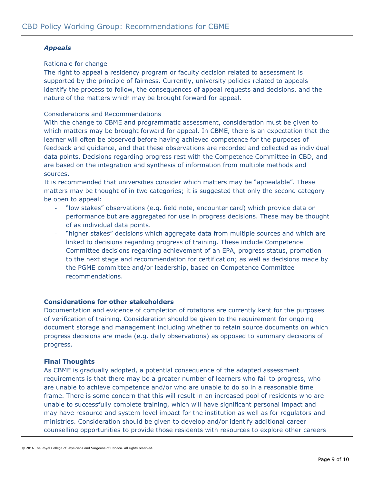## *Appeals*

## Rationale for change

The right to appeal a residency program or faculty decision related to assessment is supported by the principle of fairness. Currently, university policies related to appeals identify the process to follow, the consequences of appeal requests and decisions, and the nature of the matters which may be brought forward for appeal.

## Considerations and Recommendations

With the change to CBME and programmatic assessment, consideration must be given to which matters may be brought forward for appeal. In CBME, there is an expectation that the learner will often be observed before having achieved competence for the purposes of feedback and guidance, and that these observations are recorded and collected as individual data points. Decisions regarding progress rest with the Competence Committee in CBD, and are based on the integration and synthesis of information from multiple methods and sources.

It is recommended that universities consider which matters may be "appealable". These matters may be thought of in two categories; it is suggested that only the second category be open to appeal:

- "low stakes" observations (e.g. field note, encounter card) which provide data on performance but are aggregated for use in progress decisions. These may be thought of as individual data points.
- "higher stakes" decisions which aggregate data from multiple sources and which are linked to decisions regarding progress of training. These include Competence Committee decisions regarding achievement of an EPA, progress status, promotion to the next stage and recommendation for certification; as well as decisions made by the PGME committee and/or leadership, based on Competence Committee recommendations.

## **Considerations for other stakeholders**

Documentation and evidence of completion of rotations are currently kept for the purposes of verification of training. Consideration should be given to the requirement for ongoing document storage and management including whether to retain source documents on which progress decisions are made (e.g. daily observations) as opposed to summary decisions of progress.

## **Final Thoughts**

As CBME is gradually adopted, a potential consequence of the adapted assessment requirements is that there may be a greater number of learners who fail to progress, who are unable to achieve competence and/or who are unable to do so in a reasonable time frame. There is some concern that this will result in an increased pool of residents who are unable to successfully complete training, which will have significant personal impact and may have resource and system-level impact for the institution as well as for regulators and ministries. Consideration should be given to develop and/or identify additional career counselling opportunities to provide those residents with resources to explore other careers